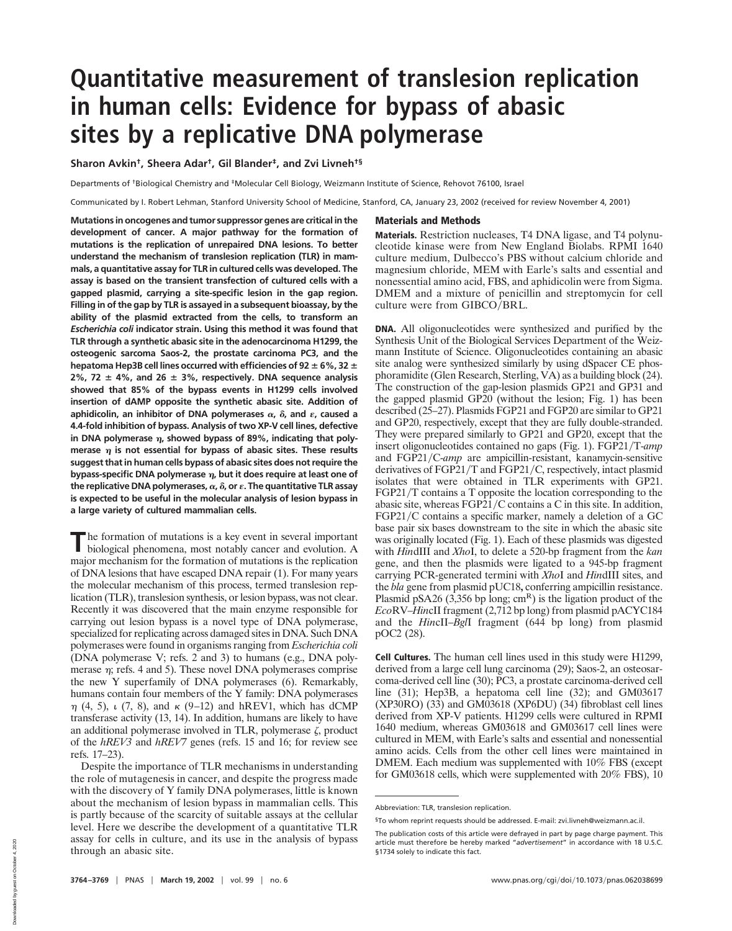# **Quantitative measurement of translesion replication in human cells: Evidence for bypass of abasic sites by a replicative DNA polymerase**

**Sharon Avkin†, Sheera Adar†, Gil Blander‡, and Zvi Livneh†§**

Departments of †Biological Chemistry and ‡Molecular Cell Biology, Weizmann Institute of Science, Rehovot 76100, Israel

Communicated by I. Robert Lehman, Stanford University School of Medicine, Stanford, CA, January 23, 2002 (received for review November 4, 2001)

**Mutations in oncogenes and tumor suppressor genes are critical in the development of cancer. A major pathway for the formation of mutations is the replication of unrepaired DNA lesions. To better understand the mechanism of translesion replication (TLR) in mammals, a quantitative assay for TLR in cultured cells was developed. The assay is based on the transient transfection of cultured cells with a gapped plasmid, carrying a site-specific lesion in the gap region. Filling in of the gap by TLR is assayed in a subsequent bioassay, by the ability of the plasmid extracted from the cells, to transform an** *Escherichia coli* **indicator strain. Using this method it was found that TLR through a synthetic abasic site in the adenocarcinoma H1299, the osteogenic sarcoma Saos-2, the prostate carcinoma PC3, and the** hepatoma Hep3B cell lines occurred with efficiencies of 92  $\pm$  6%, 32  $\pm$  $2\%$ , 72  $\pm$  4%, and 26  $\pm$  3%, respectively. DNA sequence analysis **showed that 85% of the bypass events in H1299 cells involved insertion of dAMP opposite the synthetic abasic site. Addition of** aphidicolin, an inhibitor of DNA polymerases  $\alpha$ ,  $\delta$ , and  $\epsilon$ , caused a **4.4-fold inhibition of bypass. Analysis of two XP-V cell lines, defective** in DNA polymerase  $\eta$ , showed bypass of 89%, indicating that poly**merase is not essential for bypass of abasic sites. These results suggest that in human cells bypass of abasic sites does not require the bypass-specific DNA polymerase** *η*, but it does require at least one of **the replicative DNA polymerases,**-**, , or . The quantitative TLR assay is expected to be useful in the molecular analysis of lesion bypass in a large variety of cultured mammalian cells.**

**T** he formation of mutations is a key event in several important biological phenomena most notably cancer and evolution A biological phenomena, most notably cancer and evolution. A major mechanism for the formation of mutations is the replication of DNA lesions that have escaped DNA repair (1). For many years the molecular mechanism of this process, termed translesion replication (TLR), translesion synthesis, or lesion bypass, was not clear. Recently it was discovered that the main enzyme responsible for carrying out lesion bypass is a novel type of DNA polymerase, specialized for replicating across damaged sites in DNA. Such DNA polymerases were found in organisms ranging from *Escherichia coli* (DNA polymerase V; refs. 2 and 3) to humans (e.g., DNA polymerase  $\eta$ ; refs. 4 and 5). These novel DNA polymerases comprise the new Y superfamily of DNA polymerases (6). Remarkably, humans contain four members of the Y family: DNA polymerases  $\eta$  (4, 5),  $\iota$  (7, 8), and  $\kappa$  (9–12) and hREV1, which has dCMP transferase activity (13, 14). In addition, humans are likely to have an additional polymerase involved in TLR, polymerase  $\zeta$ , product of the *hREV3* and *hREV7* genes (refs. 15 and 16; for review see refs. 17–23).

Despite the importance of TLR mechanisms in understanding the role of mutagenesis in cancer, and despite the progress made with the discovery of Y family DNA polymerases, little is known about the mechanism of lesion bypass in mammalian cells. This is partly because of the scarcity of suitable assays at the cellular level. Here we describe the development of a quantitative TLR assay for cells in culture, and its use in the analysis of bypass through an abasic site.

## **Materials and Methods**

**Materials.** Restriction nucleases, T4 DNA ligase, and T4 polynucleotide kinase were from New England Biolabs. RPMI 1640 culture medium, Dulbecco's PBS without calcium chloride and magnesium chloride, MEM with Earle's salts and essential and nonessential amino acid, FBS, and aphidicolin were from Sigma. DMEM and a mixture of penicillin and streptomycin for cell culture were from  $GIBCO/BRL$ .

**DNA.** All oligonucleotides were synthesized and purified by the Synthesis Unit of the Biological Services Department of the Weizmann Institute of Science. Oligonucleotides containing an abasic site analog were synthesized similarly by using dSpacer CE phosphoramidite (Glen Research, Sterling, VA) as a building block (24). The construction of the gap-lesion plasmids GP21 and GP31 and the gapped plasmid GP20 (without the lesion; Fig. 1) has been described (25–27). Plasmids FGP21 and FGP20 are similar to GP21 and GP20, respectively, except that they are fully double-stranded. They were prepared similarly to GP21 and GP20, except that the insert oligonucleotides contained no gaps (Fig. 1). FGP21/T-amp and FGP21/C-amp are ampicillin-resistant, kanamycin-sensitive derivatives of FGP21/T and FGP21/C, respectively, intact plasmid isolates that were obtained in TLR experiments with GP21.  $FGP21/T$  contains a T opposite the location corresponding to the abasic site, whereas  $FGP21/C$  contains a C in this site. In addition, FGP21/C contains a specific marker, namely a deletion of a GC base pair six bases downstream to the site in which the abasic site was originally located (Fig. 1). Each of these plasmids was digested with *Hin*dIII and *Xho*I, to delete a 520-bp fragment from the *kan* gene, and then the plasmids were ligated to a 945-bp fragment carrying PCR-generated termini with *Xho*I and *Hin*dIII sites, and the *bla* gene from plasmid pUC18**,** conferring ampicillin resistance. Plasmid pSA26 (3,356 bp long;  $\text{cm}^{\text{R}}$ ) is the ligation product of the *Eco*RV–*Hin*cII fragment (2,712 bp long) from plasmid pACYC184 and the *Hin*cII–*Bgl*I fragment (644 bp long) from plasmid pOC2 (28).

**Cell Cultures.** The human cell lines used in this study were H1299, derived from a large cell lung carcinoma (29); Saos-2, an osteosarcoma-derived cell line (30); PC3, a prostate carcinoma-derived cell line (31); Hep3B, a hepatoma cell line (32); and GM03617 (XP30RO) (33) and GM03618 (XP6DU) (34) fibroblast cell lines derived from XP-V patients. H1299 cells were cultured in RPMI 1640 medium, whereas GM03618 and GM03617 cell lines were cultured in MEM, with Earle's salts and essential and nonessential amino acids. Cells from the other cell lines were maintained in DMEM. Each medium was supplemented with 10% FBS (except for GM03618 cells, which were supplemented with 20% FBS), 10

Abbreviation: TLR, translesion replication.

<sup>§</sup>To whom reprint requests should be addressed. E-mail: zvi.livneh@weizmann.ac.il.

The publication costs of this article were defrayed in part by page charge payment. This article must therefore be hereby marked "*advertisement*" in accordance with 18 U.S.C. §1734 solely to indicate this fact.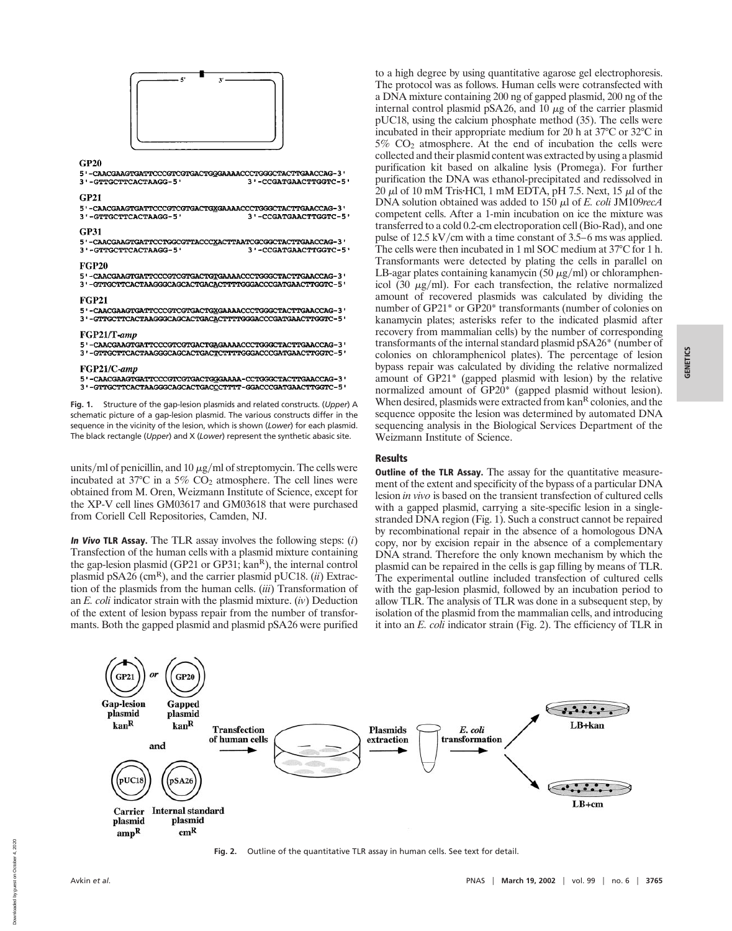

### $CP20$

5 '-CAACGAAGTGATTCCCGTCGTGACTGGGAAAACCCTGGGCTACTTGAACCAG-3 3'-GTTGCTTCACTAAGG-5' 3 '-CCGATGAACTTGGTC-5'

#### $GP21$

| 5'-CAACGAAGTGATTCCCGTCGTGACTGXGAAAACCCTGGGCTACTTGAACCAG-3' |                       |
|------------------------------------------------------------|-----------------------|
| 3'-GTTGCTTCACTAAGG-5'                                      | 3'-CCGATGAACTTGGTC-5' |

#### **GP31**

5'-CAACGAAGTGATTCCTGGCGTTACCCXACTTAATCGCGGCTACTTGAACCAG-3' 3'-GTTGCTTCACTAAGG-5' 3'-CCGATGAACTTGGTC-5'

5'-CAACGAAGTGATTCCCGTCGTGACTGTGAAAACCCTGGGCTACTTGAACCAG-3'

# 3'-GTTGCTTCACTAAGGGCAGCACTGACACTTTTGGGACCCGATGAACTTGGTC-5'

**FGP20** 

**FGP21** 

 $5 \text{ '}-\text{CAACGAAGTGATTCCCGTCGTGACTG\underline{XGAAAACCCTGGGCTACTTGAACCAG-3} \text{ '}}$ 3'-GTTGCTTCACTAAGGGCAGCACTGACACTTTTGGGACCCGATGAACTTGGTC-5'

#### FGP21/T-amn

5'-CAACGAAGTGATTCCCGTCGTGACTGAGAAAACCCTGGGCTACTTGAACCAG-3' 3'-GTTGCTTCACTAAGGGCAGCACTGACTCTTTTGGGACCCGATGAACTTGGTC-5'

#### FGP21/C-amp

5'-CAACGAAGTGATTCCCGTCGTGACTGGGAAAA-CCTGGGCTACTTGAACCAG-3' 3'-GTTGCTTCACTAAGGGCAGCACTGACCCTTTT-GGACCCGATGAACTTGGTC-5'

**Fig. 1.** Structure of the gap-lesion plasmids and related constructs. (*Upper*) A schematic picture of a gap-lesion plasmid. The various constructs differ in the sequence in the vicinity of the lesion, which is shown (*Lower*) for each plasmid. The black rectangle (*Upper*) and X (*Lower*) represent the synthetic abasic site.

units/ml of penicillin, and 10  $\mu$ g/ml of streptomycin. The cells were incubated at  $37^{\circ}$ C in a  $5\%$  CO<sub>2</sub> atmosphere. The cell lines were obtained from M. Oren, Weizmann Institute of Science, except for the XP-V cell lines GM03617 and GM03618 that were purchased from Coriell Cell Repositories, Camden, NJ.

**In Vivo TLR Assay.** The TLR assay involves the following steps: (*i*) Transfection of the human cells with a plasmid mixture containing the gap-lesion plasmid (GP21 or GP31; kan<sup>R</sup>), the internal control plasmid pSA26 ( $\text{cm}^{\text{R}}$ ), and the carrier plasmid pUC18. *(ii)* Extraction of the plasmids from the human cells. (*iii*) Transformation of an *E. coli* indicator strain with the plasmid mixture. (*iv*) Deduction of the extent of lesion bypass repair from the number of transformants. Both the gapped plasmid and plasmid pSA26 were purified

to a high degree by using quantitative agarose gel electrophoresis. The protocol was as follows. Human cells were cotransfected with a DNA mixture containing 200 ng of gapped plasmid, 200 ng of the internal control plasmid pSA26, and  $10 \mu$ g of the carrier plasmid pUC18, using the calcium phosphate method (35). The cells were incubated in their appropriate medium for 20 h at 37°C or 32°C in  $5\%$  CO<sub>2</sub> atmosphere. At the end of incubation the cells were collected and their plasmid content was extracted by using a plasmid purification kit based on alkaline lysis (Promega). For further purification the DNA was ethanol-precipitated and redissolved in  $20 \mu$ l of 10 mM Tris·HCl, 1 mM EDTA, pH 7.5. Next, 15  $\mu$ l of the DNA solution obtained was added to 150 μl of *E. coli* JM109*recA* competent cells. After a 1-min incubation on ice the mixture was transferred to a cold 0.2-cm electroporation cell (Bio-Rad), and one pulse of  $12.5 \text{ kV/cm}$  with a time constant of 3.5–6 ms was applied. The cells were then incubated in 1 ml SOC medium at 37°C for 1 h. Transformants were detected by plating the cells in parallel on LB-agar plates containing kanamycin (50  $\mu$ g/ml) or chloramphenicol (30  $\mu$ g/ml). For each transfection, the relative normalized amount of recovered plasmids was calculated by dividing the number of GP21\* or GP20\* transformants (number of colonies on kanamycin plates; asterisks refer to the indicated plasmid after recovery from mammalian cells) by the number of corresponding transformants of the internal standard plasmid pSA26\* (number of colonies on chloramphenicol plates). The percentage of lesion bypass repair was calculated by dividing the relative normalized amount of GP21\* (gapped plasmid with lesion) by the relative normalized amount of GP20\* (gapped plasmid without lesion). When desired, plasmids were extracted from kan<sup>R</sup> colonies, and the sequence opposite the lesion was determined by automated DNA sequencing analysis in the Biological Services Department of the Weizmann Institute of Science.

# **Results**

**Outline of the TLR Assay.** The assay for the quantitative measurement of the extent and specificity of the bypass of a particular DNA lesion *in vivo* is based on the transient transfection of cultured cells with a gapped plasmid, carrying a site-specific lesion in a singlestranded DNA region (Fig. 1). Such a construct cannot be repaired by recombinational repair in the absence of a homologous DNA copy, nor by excision repair in the absence of a complementary DNA strand. Therefore the only known mechanism by which the plasmid can be repaired in the cells is gap filling by means of TLR. The experimental outline included transfection of cultured cells with the gap-lesion plasmid, followed by an incubation period to allow TLR. The analysis of TLR was done in a subsequent step, by isolation of the plasmid from the mammalian cells, and introducing it into an *E. coli* indicator strain (Fig. 2). The efficiency of TLR in



# **Fig. 2.** Outline of the quantitative TLR assay in human cells. See text for detail.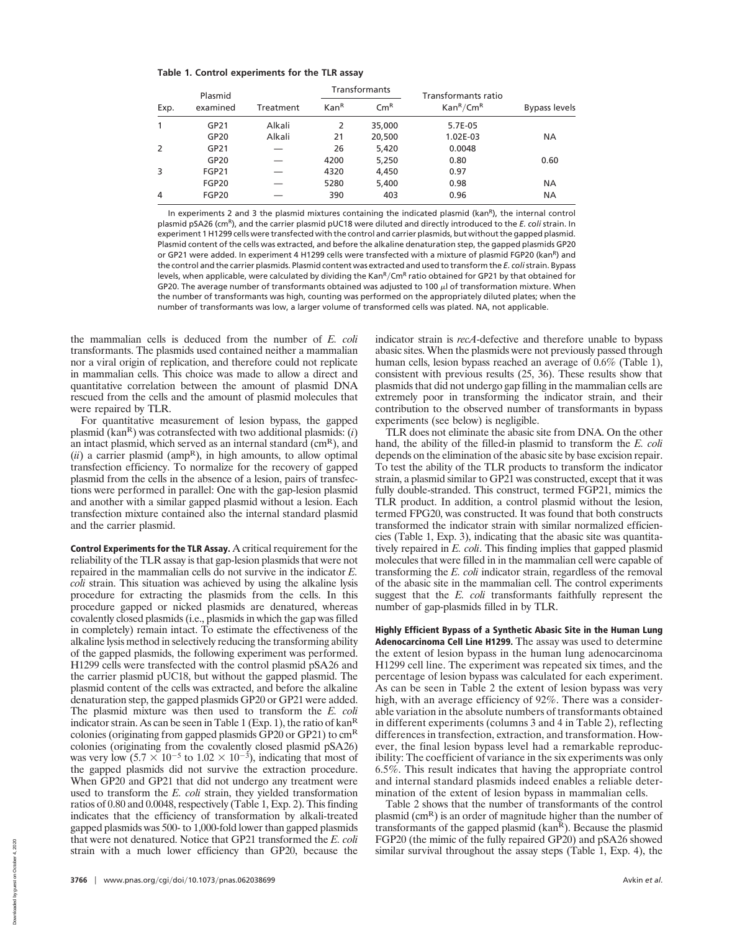|  |  |  | Table 1. Control experiments for the TLR assay |  |  |  |  |
|--|--|--|------------------------------------------------|--|--|--|--|
|--|--|--|------------------------------------------------|--|--|--|--|

| Plasmid<br>examined<br>Exp. |                  |           | <b>Transformants</b> |                            | Transformants ratio               |                      |  |
|-----------------------------|------------------|-----------|----------------------|----------------------------|-----------------------------------|----------------------|--|
|                             |                  | Treatment | Kan <sup>R</sup>     | $\mathsf{Cm}^{\mathsf{R}}$ | Kan <sup>R</sup> /Cm <sup>R</sup> | <b>Bypass levels</b> |  |
| 1                           | GP21             | Alkali    | 2                    | 35,000                     | 5.7E-05                           |                      |  |
|                             | GP <sub>20</sub> | Alkali    | 21                   | 20,500                     | 1.02E-03                          | <b>NA</b>            |  |
| 2                           | GP21             |           | 26                   | 5,420                      | 0.0048                            |                      |  |
|                             | GP <sub>20</sub> |           | 4200                 | 5,250                      | 0.80                              | 0.60                 |  |
| 3                           | <b>FGP21</b>     |           | 4320                 | 4,450                      | 0.97                              |                      |  |
|                             | FGP20            |           | 5280                 | 5,400                      | 0.98                              | ΝA                   |  |
| 4                           | FGP20            |           | 390                  | 403                        | 0.96                              | ΝA                   |  |

In experiments 2 and 3 the plasmid mixtures containing the indicated plasmid (kanR), the internal control plasmid pSA26 (cmR), and the carrier plasmid pUC18 were diluted and directly introduced to the *E. coli* strain. In experiment 1 H1299 cells were transfected with the control and carrier plasmids, but without the gapped plasmid. Plasmid content of the cells was extracted, and before the alkaline denaturation step, the gapped plasmids GP20 or GP21 were added. In experiment 4 H1299 cells were transfected with a mixture of plasmid FGP20 (kan<sup>R</sup>) and the control and the carrier plasmids. Plasmid content was extracted and used to transform the *E. coli*strain. Bypass levels, when applicable, were calculated by dividing the KanR/CmR ratio obtained for GP21 by that obtained for GP20. The average number of transformants obtained was adjusted to 100  $\mu$  of transformation mixture. When the number of transformants was high, counting was performed on the appropriately diluted plates; when the number of transformants was low, a larger volume of transformed cells was plated. NA, not applicable.

the mammalian cells is deduced from the number of *E. coli* transformants. The plasmids used contained neither a mammalian nor a viral origin of replication, and therefore could not replicate in mammalian cells. This choice was made to allow a direct and quantitative correlation between the amount of plasmid DNA rescued from the cells and the amount of plasmid molecules that were repaired by TLR.

For quantitative measurement of lesion bypass, the gapped plasmid (kanR) was cotransfected with two additional plasmids: (*i*) an intact plasmid, which served as an internal standard  $(cm<sup>R</sup>)$ , and  $(iii)$  a carrier plasmid (amp<sup>R</sup>), in high amounts, to allow optimal transfection efficiency. To normalize for the recovery of gapped plasmid from the cells in the absence of a lesion, pairs of transfections were performed in parallel: One with the gap-lesion plasmid and another with a similar gapped plasmid without a lesion. Each transfection mixture contained also the internal standard plasmid and the carrier plasmid.

**Control Experiments for the TLR Assay.** A critical requirement for the reliability of the TLR assay is that gap-lesion plasmids that were not repaired in the mammalian cells do not survive in the indicator *E. coli* strain. This situation was achieved by using the alkaline lysis procedure for extracting the plasmids from the cells. In this procedure gapped or nicked plasmids are denatured, whereas covalently closed plasmids (i.e., plasmids in which the gap was filled in completely) remain intact. To estimate the effectiveness of the alkaline lysis method in selectively reducing the transforming ability of the gapped plasmids, the following experiment was performed. H1299 cells were transfected with the control plasmid pSA26 and the carrier plasmid pUC18, but without the gapped plasmid. The plasmid content of the cells was extracted, and before the alkaline denaturation step, the gapped plasmids GP20 or GP21 were added. The plasmid mixture was then used to transform the *E. coli* indicator strain. As can be seen in Table 1 (Exp. 1), the ratio of  $kan^R$ colonies (originating from gapped plasmids GP20 or GP21) to  $\text{cm}^{\text{R}}$ colonies (originating from the covalently closed plasmid pSA26) was very low  $(5.7 \times 10^{-5}$  to  $1.02 \times 10^{-3})$ , indicating that most of the gapped plasmids did not survive the extraction procedure. When GP20 and GP21 that did not undergo any treatment were used to transform the *E. coli* strain, they yielded transformation ratios of 0.80 and 0.0048, respectively (Table 1, Exp. 2). This finding indicates that the efficiency of transformation by alkali-treated gapped plasmids was 500- to 1,000-fold lower than gapped plasmids that were not denatured. Notice that GP21 transformed the *E. coli* strain with a much lower efficiency than GP20, because the

**3766** | www.pnas.org/cgi/doi/10.1073/pnas.062038699 Avkin *et al.* 

indicator strain is *recA*-defective and therefore unable to bypass abasic sites. When the plasmids were not previously passed through human cells, lesion bypass reached an average of 0.6% (Table 1), consistent with previous results (25, 36). These results show that plasmids that did not undergo gap filling in the mammalian cells are extremely poor in transforming the indicator strain, and their contribution to the observed number of transformants in bypass experiments (see below) is negligible.

TLR does not eliminate the abasic site from DNA. On the other hand, the ability of the filled-in plasmid to transform the *E. coli* depends on the elimination of the abasic site by base excision repair. To test the ability of the TLR products to transform the indicator strain, a plasmid similar to GP21 was constructed, except that it was fully double-stranded. This construct, termed FGP21, mimics the TLR product. In addition, a control plasmid without the lesion, termed FPG20, was constructed. It was found that both constructs transformed the indicator strain with similar normalized efficiencies (Table 1, Exp. 3), indicating that the abasic site was quantitatively repaired in *E. coli*. This finding implies that gapped plasmid molecules that were filled in in the mammalian cell were capable of transforming the *E. coli* indicator strain, regardless of the removal of the abasic site in the mammalian cell. The control experiments suggest that the *E. coli* transformants faithfully represent the number of gap-plasmids filled in by TLR.

**Highly Efficient Bypass of a Synthetic Abasic Site in the Human Lung Adenocarcinoma Cell Line H1299.** The assay was used to determine the extent of lesion bypass in the human lung adenocarcinoma H1299 cell line. The experiment was repeated six times, and the percentage of lesion bypass was calculated for each experiment. As can be seen in Table 2 the extent of lesion bypass was very high, with an average efficiency of 92%. There was a considerable variation in the absolute numbers of transformants obtained in different experiments (columns 3 and 4 in Table 2), reflecting differences in transfection, extraction, and transformation. However, the final lesion bypass level had a remarkable reproducibility: The coefficient of variance in the six experiments was only 6.5%. This result indicates that having the appropriate control and internal standard plasmids indeed enables a reliable determination of the extent of lesion bypass in mammalian cells.

Table 2 shows that the number of transformants of the control plasmid ( $\text{cm}^{\text{R}}$ ) is an order of magnitude higher than the number of transformants of the gapped plasmid ( $kan<sup>R</sup>$ ). Because the plasmid FGP20 (the mimic of the fully repaired GP20) and pSA26 showed similar survival throughout the assay steps (Table 1, Exp. 4), the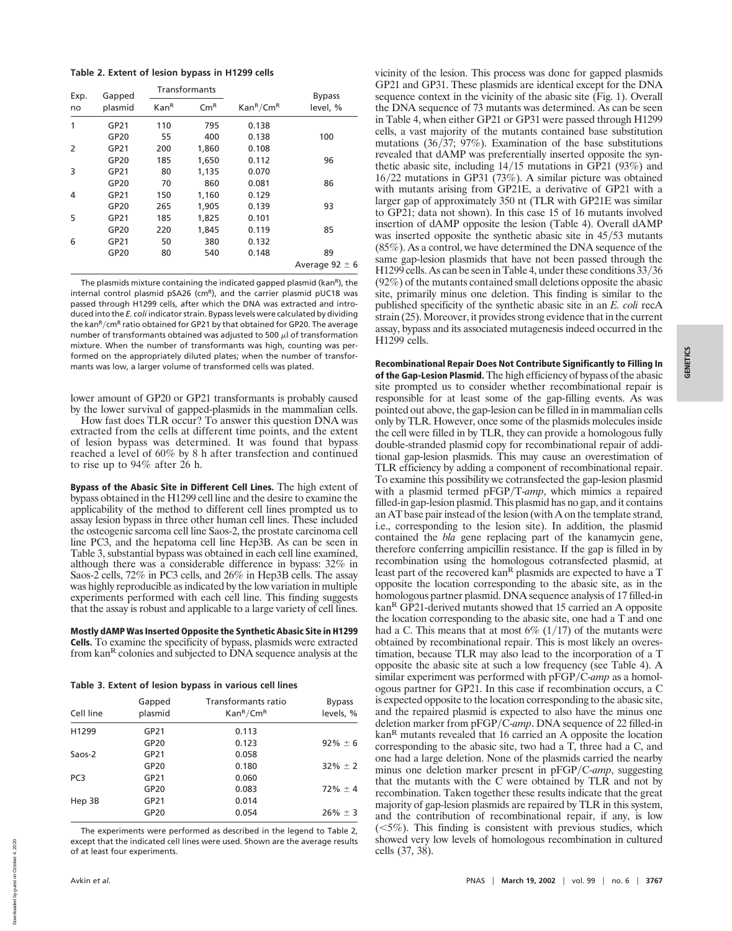|  | Table 2. Extent of lesion bypass in H1299 cells |  |  |  |  |  |
|--|-------------------------------------------------|--|--|--|--|--|
|--|-------------------------------------------------|--|--|--|--|--|

| Exp. | Gapped  | Transformants    |                            |                                   | <b>Bypass</b>      |  |
|------|---------|------------------|----------------------------|-----------------------------------|--------------------|--|
| no   | plasmid | Kan <sup>R</sup> | $\mathsf{Cm}^{\mathsf{R}}$ | Kan <sup>R</sup> /Cm <sup>R</sup> | level, %           |  |
| 1    | GP21    | 110              | 795                        | 0.138                             |                    |  |
|      | GP20    | 55               | 400                        | 0.138                             | 100                |  |
| 2    | GP21    | 200              | 1,860                      | 0.108                             |                    |  |
|      | GP20    | 185              | 1,650                      | 0.112                             | 96                 |  |
| 3    | GP21    | 80               | 1,135                      | 0.070                             |                    |  |
|      | GP20    | 70               | 860                        | 0.081                             | 86                 |  |
| 4    | GP21    | 150              | 1,160                      | 0.129                             |                    |  |
|      | GP20    | 265              | 1,905                      | 0.139                             | 93                 |  |
| 5    | GP21    | 185              | 1,825                      | 0.101                             |                    |  |
|      | GP20    | 220              | 1,845                      | 0.119                             | 85                 |  |
| 6    | GP21    | 50               | 380                        | 0.132                             |                    |  |
|      | GP20    | 80               | 540                        | 0.148                             | 89                 |  |
|      |         |                  |                            |                                   | Average $92 \pm 6$ |  |

The plasmids mixture containing the indicated gapped plasmid (kan<sup>R</sup>), the internal control plasmid pSA26 ( $\text{cm}^R$ ), and the carrier plasmid pUC18 was passed through H1299 cells, after which the DNA was extracted and introduced into the *E. coli* indicator strain. Bypass levels were calculated by dividing the kanR/cmR ratio obtained for GP21 by that obtained for GP20. The average number of transformants obtained was adjusted to 500  $\mu$ l of transformation mixture. When the number of transformants was high, counting was performed on the appropriately diluted plates; when the number of transformants was low, a larger volume of transformed cells was plated.

lower amount of GP20 or GP21 transformants is probably caused by the lower survival of gapped-plasmids in the mammalian cells.

How fast does TLR occur? To answer this question DNA was extracted from the cells at different time points, and the extent of lesion bypass was determined. It was found that bypass reached a level of 60% by 8 h after transfection and continued to rise up to 94% after 26 h.

**Bypass of the Abasic Site in Different Cell Lines.** The high extent of bypass obtained in the H1299 cell line and the desire to examine the applicability of the method to different cell lines prompted us to assay lesion bypass in three other human cell lines. These included the osteogenic sarcoma cell line Saos-2, the prostate carcinoma cell line PC3, and the hepatoma cell line Hep3B. As can be seen in Table 3, substantial bypass was obtained in each cell line examined, although there was a considerable difference in bypass: 32% in Saos-2 cells, 72% in PC3 cells, and 26% in Hep3B cells. The assay was highly reproducible as indicated by the low variation in multiple experiments performed with each cell line. This finding suggests that the assay is robust and applicable to a large variety of cell lines.

**Mostly dAMP Was Inserted Opposite the Synthetic Abasic Site in H1299 Cells.** To examine the specificity of bypass, plasmids were extracted from kan<sup>R</sup> colonies and subjected to DNA sequence analysis at the

**Table 3. Extent of lesion bypass in various cell lines**

| Cell line       | Gapped<br>plasmid | Transformants ratio<br>$\text{Kan}^R/\text{Cm}^R$ | <b>Bypass</b><br>levels, % |
|-----------------|-------------------|---------------------------------------------------|----------------------------|
| H1299           | GP21              | 0.113                                             |                            |
|                 | GP20              | 0.123                                             | $92\% \pm 6$               |
| Saos-2          | GP21              | 0.058                                             |                            |
|                 | GP20              | 0.180                                             | $32\% \pm 2$               |
| PC <sub>3</sub> | GP21              | 0.060                                             |                            |
|                 | GP20              | 0.083                                             | $72\% \pm 4$               |
| Hep 3B          | GP21              | 0.014                                             |                            |
|                 | GP20              | 0.054                                             | $26\% \pm 3$               |

The experiments were performed as described in the legend to Table 2, except that the indicated cell lines were used. Shown are the average results of at least four experiments.

vicinity of the lesion. This process was done for gapped plasmids GP21 and GP31. These plasmids are identical except for the DNA sequence context in the vicinity of the abasic site (Fig. 1). Overall the DNA sequence of 73 mutants was determined. As can be seen in Table 4, when either GP21 or GP31 were passed through H1299 cells, a vast majority of the mutants contained base substitution mutations ( $36/37$ ;  $97\%$ ). Examination of the base substitutions revealed that dAMP was preferentially inserted opposite the synthetic abasic site, including  $14/15$  mutations in GP21 (93%) and  $16/22$  mutations in GP31 (73%). A similar picture was obtained with mutants arising from GP21E, a derivative of GP21 with a larger gap of approximately 350 nt (TLR with GP21E was similar to GP21; data not shown). In this case 15 of 16 mutants involved insertion of dAMP opposite the lesion (Table 4). Overall dAMP was inserted opposite the synthetic abasic site in  $45/53$  mutants (85%). As a control, we have determined the DNA sequence of the same gap-lesion plasmids that have not been passed through the  $H1299$  cells. As can be seen in Table 4, under these conditions  $33/36$ (92%) of the mutants contained small deletions opposite the abasic site, primarily minus one deletion. This finding is similar to the published specificity of the synthetic abasic site in an *E. coli* recA strain (25). Moreover, it provides strong evidence that in the current assay, bypass and its associated mutagenesis indeed occurred in the H1299 cells.

**Recombinational Repair Does Not Contribute Significantly to Filling In of the Gap-Lesion Plasmid.** The high efficiency of bypass of the abasic site prompted us to consider whether recombinational repair is responsible for at least some of the gap-filling events. As was pointed out above, the gap-lesion can be filled in in mammalian cells only by TLR. However, once some of the plasmids molecules inside the cell were filled in by TLR, they can provide a homologous fully double-stranded plasmid copy for recombinational repair of additional gap-lesion plasmids. This may cause an overestimation of TLR efficiency by adding a component of recombinational repair. To examine this possibility we cotransfected the gap-lesion plasmid with a plasmid termed pFGP/T-amp, which mimics a repaired filled-in gap-lesion plasmid. This plasmid has no gap, and it contains an AT base pair instead of the lesion (with A on the template strand, i.e., corresponding to the lesion site). In addition, the plasmid contained the *bla* gene replacing part of the kanamycin gene, therefore conferring ampicillin resistance. If the gap is filled in by recombination using the homologous cotransfected plasmid, at least part of the recovered kan<sup>R</sup> plasmids are expected to have a T opposite the location corresponding to the abasic site, as in the homologous partner plasmid. DNA sequence analysis of 17 filled-in kan<sup>R</sup> GP21-derived mutants showed that 15 carried an A opposite the location corresponding to the abasic site, one had a T and one had a C. This means that at most  $6\%$  (1/17) of the mutants were obtained by recombinational repair. This is most likely an overestimation, because TLR may also lead to the incorporation of a T opposite the abasic site at such a low frequency (see Table 4). A similar experiment was performed with pFGP/C-amp as a homologous partner for GP21. In this case if recombination occurs, a C is expected opposite to the location corresponding to the abasic site, and the repaired plasmid is expected to also have the minus one deletion marker from pFGP/C-amp. DNA sequence of 22 filled-in kan<sup>R</sup> mutants revealed that 16 carried an A opposite the location corresponding to the abasic site, two had a T, three had a C, and one had a large deletion. None of the plasmids carried the nearby minus one deletion marker present in pFGP/C-amp, suggesting that the mutants with the  $\overline{C}$  were obtained by TLR and not by recombination. Taken together these results indicate that the great majority of gap-lesion plasmids are repaired by TLR in this system, and the contribution of recombinational repair, if any, is low  $(<5\%)$ . This finding is consistent with previous studies, which showed very low levels of homologous recombination in cultured cells (37, 38).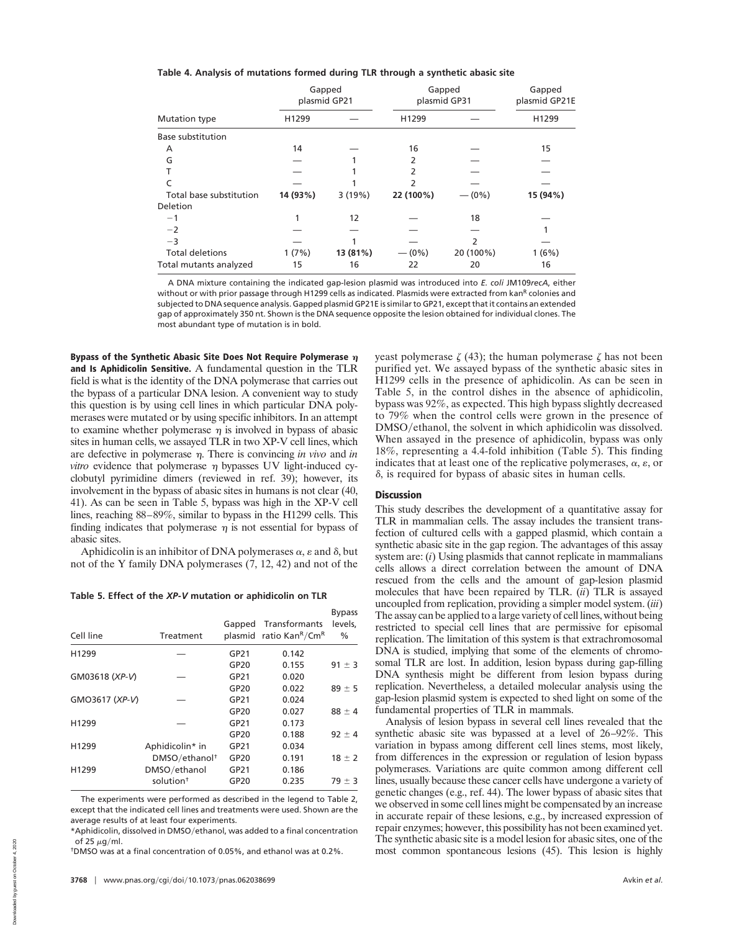| Table 4. Analysis of mutations formed during TLR through a synthetic abasic site |  |  |  |  |  |
|----------------------------------------------------------------------------------|--|--|--|--|--|
|----------------------------------------------------------------------------------|--|--|--|--|--|

|                          |          | Gapped<br>plasmid GP21 | plasmid GP31 | Gapped<br>Gapped<br>plasmid GP21E |          |
|--------------------------|----------|------------------------|--------------|-----------------------------------|----------|
| Mutation type            | H1299    |                        | H1299        |                                   | H1299    |
| <b>Base substitution</b> |          |                        |              |                                   |          |
| A                        | 14       |                        | 16           |                                   | 15       |
| G                        |          |                        | 2            |                                   |          |
|                          |          |                        |              |                                   |          |
|                          |          |                        |              |                                   |          |
| Total base substitution  | 14 (93%) | 3(19%)                 | 22 (100%)    | $- (0\%)$                         | 15 (94%) |
| Deletion                 |          |                        |              |                                   |          |
| $-1$                     |          | 12                     |              | 18                                |          |
| $-2$                     |          |                        |              |                                   |          |
| $-3$                     |          |                        |              | $\mathcal{P}$                     |          |
| <b>Total deletions</b>   | 1(7%)    | 13 (81%)               | $- (0\%)$    | 20 (100%)                         | 1(6%)    |
| Total mutants analyzed   | 15       | 16                     | 22           | 20                                | 16       |

A DNA mixture containing the indicated gap-lesion plasmid was introduced into *E. coli* JM109*recA*, either without or with prior passage through H1299 cells as indicated. Plasmids were extracted from kan<sup>R</sup> colonies and subjected to DNA sequence analysis. Gapped plasmid GP21E is similar to GP21, except that it contains an extended gap of approximately 350 nt. Shown is the DNA sequence opposite the lesion obtained for individual clones. The most abundant type of mutation is in bold.

**Bypass of the Synthetic Abasic Site Does Not Require Polymerase and Is Aphidicolin Sensitive.** A fundamental question in the TLR field is what is the identity of the DNA polymerase that carries out the bypass of a particular DNA lesion. A convenient way to study this question is by using cell lines in which particular DNA polymerases were mutated or by using specific inhibitors. In an attempt to examine whether polymerase  $\eta$  is involved in bypass of abasic sites in human cells, we assayed TLR in two XP-V cell lines, which are defective in polymerase  $\eta$ . There is convincing *in vivo* and *in vitro* evidence that polymerase  $\eta$  bypasses UV light-induced cyclobutyl pyrimidine dimers (reviewed in ref. 39); however, its involvement in the bypass of abasic sites in humans is not clear (40, 41). As can be seen in Table 5, bypass was high in the XP-V cell lines, reaching 88–89%, similar to bypass in the H1299 cells. This finding indicates that polymerase  $\eta$  is not essential for bypass of abasic sites.

Aphidicolin is an inhibitor of DNA polymerases  $\alpha$ ,  $\varepsilon$  and  $\delta$ , but not of the Y family DNA polymerases (7, 12, 42) and not of the

**Table 5. Effect of the** *XP-V* **mutation or aphidicolin on TLR**

| Cell line      | Treatment                 | Gapped<br>plasmid | Transformants<br>ratio Kan <sup>R</sup> /Cm <sup>R</sup> | <b>Bypass</b><br>levels.<br>$\%$ |
|----------------|---------------------------|-------------------|----------------------------------------------------------|----------------------------------|
| H1299          |                           | GP21              | 0.142                                                    |                                  |
|                |                           | GP20              | 0.155                                                    | $91 \pm 3$                       |
| GM03618 (XP-V) |                           | GP21              | 0.020                                                    |                                  |
|                |                           | GP20              | 0.022                                                    | $89 \pm 5$                       |
| GMO3617 (XP-V) |                           | GP21              | 0.024                                                    |                                  |
|                |                           | GP20              | 0.027                                                    | $88 \pm 4$                       |
| H1299          |                           | GP21              | 0.173                                                    |                                  |
|                |                           | GP20              | 0.188                                                    | $92 \pm 4$                       |
| H1299          | Aphidicolin* in           | GP21              | 0.034                                                    |                                  |
|                | DMSO/ethanol <sup>+</sup> | GP20              | 0.191                                                    | $18 \pm 2$                       |
| H1299          | DMSO/ethanol              | GP21              | 0.186                                                    |                                  |
|                | solution <sup>+</sup>     | GP20              | 0.235                                                    | $79 \pm 3$                       |

The experiments were performed as described in the legend to Table 2, except that the indicated cell lines and treatments were used. Shown are the average results of at least four experiments.

\*Aphidicolin, dissolved in DMSO/ethanol, was added to a final concentration of 25  $\mu$ g/ml.

†DMSO was at a final concentration of 0.05%, and ethanol was at 0.2%.

yeast polymerase  $\zeta$  (43); the human polymerase  $\zeta$  has not been purified yet. We assayed bypass of the synthetic abasic sites in H1299 cells in the presence of aphidicolin. As can be seen in Table 5, in the control dishes in the absence of aphidicolin, bypass was 92%, as expected. This high bypass slightly decreased to 79% when the control cells were grown in the presence of DMSO/ethanol, the solvent in which aphidicolin was dissolved. When assayed in the presence of aphidicolin, bypass was only 18%, representing a 4.4-fold inhibition (Table 5). This finding indicates that at least one of the replicative polymerases,  $\alpha$ ,  $\varepsilon$ , or  $\delta$ , is required for bypass of abasic sites in human cells.

# **Discussion**

This study describes the development of a quantitative assay for TLR in mammalian cells. The assay includes the transient transfection of cultured cells with a gapped plasmid, which contain a synthetic abasic site in the gap region. The advantages of this assay system are: (*i*) Using plasmids that cannot replicate in mammalians cells allows a direct correlation between the amount of DNA rescued from the cells and the amount of gap-lesion plasmid molecules that have been repaired by TLR. (*ii*) TLR is assayed uncoupled from replication, providing a simpler model system. (*iii*) The assay can be applied to a large variety of cell lines, without being restricted to special cell lines that are permissive for episomal replication. The limitation of this system is that extrachromosomal DNA is studied, implying that some of the elements of chromosomal TLR are lost. In addition, lesion bypass during gap-filling DNA synthesis might be different from lesion bypass during replication. Nevertheless, a detailed molecular analysis using the gap-lesion plasmid system is expected to shed light on some of the fundamental properties of TLR in mammals.

Analysis of lesion bypass in several cell lines revealed that the synthetic abasic site was bypassed at a level of 26–92%. This variation in bypass among different cell lines stems, most likely, from differences in the expression or regulation of lesion bypass polymerases. Variations are quite common among different cell lines, usually because these cancer cells have undergone a variety of genetic changes (e.g., ref. 44). The lower bypass of abasic sites that we observed in some cell lines might be compensated by an increase in accurate repair of these lesions, e.g., by increased expression of repair enzymes; however, this possibility has not been examined yet. The synthetic abasic site is a model lesion for abasic sites, one of the most common spontaneous lesions (45). This lesion is highly